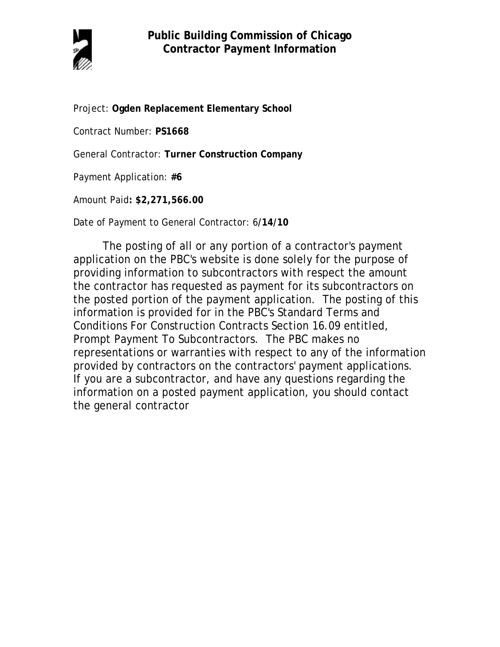

Project: **Ogden Replacement Elementary School**

Contract Number: **PS1668**

General Contractor: **Turner Construction Company**

Payment Application: **#6**

Amount Paid**: \$2,271,566.00** 

Date of Payment to General Contractor: 6**/14/10**

The posting of all or any portion of a contractor's payment application on the PBC's website is done solely for the purpose of providing information to subcontractors with respect the amount the contractor has requested as payment for its subcontractors on the posted portion of the payment application. The posting of this information is provided for in the PBC's Standard Terms and Conditions For Construction Contracts Section 16.09 entitled, Prompt Payment To Subcontractors. The PBC makes no representations or warranties with respect to any of the information provided by contractors on the contractors' payment applications. If you are a subcontractor, and have any questions regarding the information on a posted payment application, you should contact the general contractor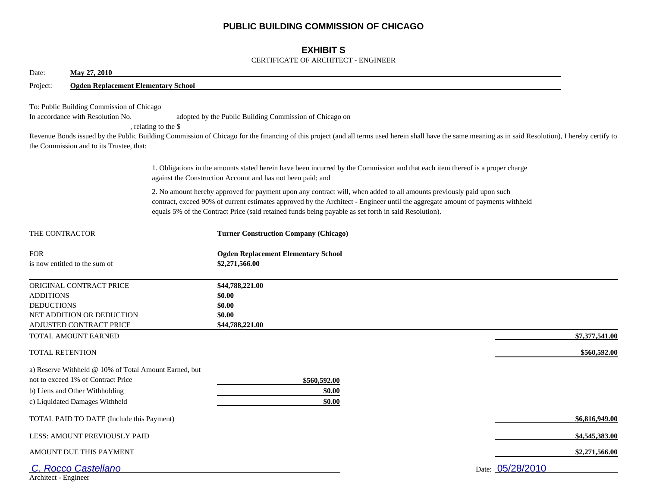## **PUBLIC BUILDING COMMISSION OF CHICAGO**

## **EXHIBIT S**

### CERTIFICATE OF ARCHITECT - ENGINEER

| May 27, 2010<br>Date:                                                                                                                                           |                                                                                                                                                                                                                                                                                                                                                                |                  |
|-----------------------------------------------------------------------------------------------------------------------------------------------------------------|----------------------------------------------------------------------------------------------------------------------------------------------------------------------------------------------------------------------------------------------------------------------------------------------------------------------------------------------------------------|------------------|
| Project:<br><b>Ogden Replacement Elementary School</b>                                                                                                          |                                                                                                                                                                                                                                                                                                                                                                |                  |
| To: Public Building Commission of Chicago<br>In accordance with Resolution No.<br>the Commission and to its Trustee, that:                                      | adopted by the Public Building Commission of Chicago on<br>, relating to the \$<br>Revenue Bonds issued by the Public Building Commission of Chicago for the financing of this project (and all terms used herein shall have the same meaning as in said Resolution), I hereby certify to                                                                      |                  |
|                                                                                                                                                                 | 1. Obligations in the amounts stated herein have been incurred by the Commission and that each item thereof is a proper charge<br>against the Construction Account and has not been paid; and                                                                                                                                                                  |                  |
|                                                                                                                                                                 | 2. No amount hereby approved for payment upon any contract will, when added to all amounts previously paid upon such<br>contract, exceed 90% of current estimates approved by the Architect - Engineer until the aggregate amount of payments withheld<br>equals 5% of the Contract Price (said retained funds being payable as set forth in said Resolution). |                  |
| THE CONTRACTOR                                                                                                                                                  | <b>Turner Construction Company (Chicago)</b>                                                                                                                                                                                                                                                                                                                   |                  |
| <b>FOR</b><br>is now entitled to the sum of                                                                                                                     | <b>Ogden Replacement Elementary School</b><br>\$2,271,566.00                                                                                                                                                                                                                                                                                                   |                  |
| ORIGINAL CONTRACT PRICE<br><b>ADDITIONS</b><br><b>DEDUCTIONS</b><br>NET ADDITION OR DEDUCTION<br>ADJUSTED CONTRACT PRICE                                        | \$44,788,221.00<br>\$0.00<br>\$0.00<br>\$0.00<br>\$44,788,221.00                                                                                                                                                                                                                                                                                               |                  |
| TOTAL AMOUNT EARNED                                                                                                                                             |                                                                                                                                                                                                                                                                                                                                                                | \$7,377,541.00   |
| <b>TOTAL RETENTION</b>                                                                                                                                          |                                                                                                                                                                                                                                                                                                                                                                | \$560,592.00     |
| a) Reserve Withheld @ 10% of Total Amount Earned, but<br>not to exceed 1% of Contract Price<br>b) Liens and Other Withholding<br>c) Liquidated Damages Withheld | \$560,592.00<br>\$0.00<br>\$0.00                                                                                                                                                                                                                                                                                                                               |                  |
| TOTAL PAID TO DATE (Include this Payment)                                                                                                                       |                                                                                                                                                                                                                                                                                                                                                                | \$6,816,949.00   |
| <b>LESS: AMOUNT PREVIOUSLY PAID</b>                                                                                                                             |                                                                                                                                                                                                                                                                                                                                                                | \$4,545,383.00   |
| AMOUNT DUE THIS PAYMENT                                                                                                                                         |                                                                                                                                                                                                                                                                                                                                                                | \$2,271,566.00   |
| C. Rocco Castellano<br>Architect - Engineer                                                                                                                     |                                                                                                                                                                                                                                                                                                                                                                | Date: 05/28/2010 |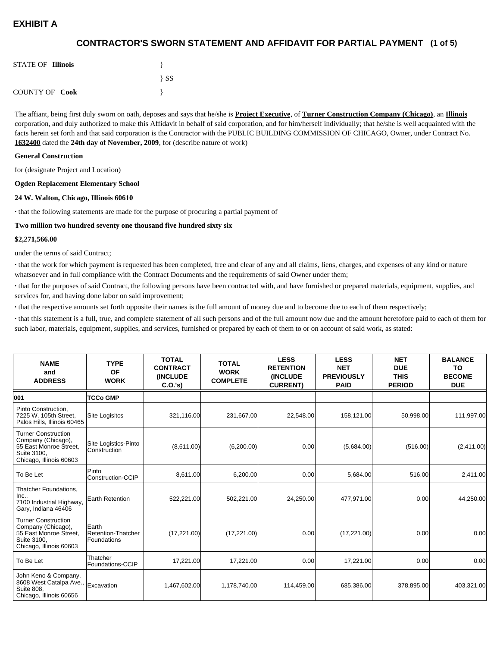## **(1 of 5) CONTRACTOR'S SWORN STATEMENT AND AFFIDAVIT FOR PARTIAL PAYMENT**

| <b>STATE OF Illinois</b> |          |
|--------------------------|----------|
|                          | $\{SS\}$ |
| <b>COUNTY OF Cook</b>    |          |

The affiant, being first duly sworn on oath, deposes and says that he/she is **Project Executive**, of **Turner Construction Company (Chicago)**, an **Illinois** corporation, and duly authorized to make this Affidavit in behalf of said corporation, and for him/herself individually; that he/she is well acquainted with the facts herein set forth and that said corporation is the Contractor with the PUBLIC BUILDING COMMISSION OF CHICAGO, Owner, under Contract No. **1632400** dated the **24th day of November, 2009**, for (describe nature of work)

#### **General Construction**

for (designate Project and Location)

#### **Ogden Replacement Elementary School**

#### **24 W. Walton, Chicago, Illinois 60610**

**·** that the following statements are made for the purpose of procuring a partial payment of

### **Two million two hundred seventy one thousand five hundred sixty six**

### **\$2,271,566.00**

under the terms of said Contract;

**·** that the work for which payment is requested has been completed, free and clear of any and all claims, liens, charges, and expenses of any kind or nature whatsoever and in full compliance with the Contract Documents and the requirements of said Owner under them;

**·** that for the purposes of said Contract, the following persons have been contracted with, and have furnished or prepared materials, equipment, supplies, and services for, and having done labor on said improvement;

**·** that the respective amounts set forth opposite their names is the full amount of money due and to become due to each of them respectively;

**·** that this statement is a full, true, and complete statement of all such persons and of the full amount now due and the amount heretofore paid to each of them for such labor, materials, equipment, supplies, and services, furnished or prepared by each of them to or on account of said work, as stated:

| <b>NAME</b><br>and<br><b>ADDRESS</b>                                                                                 | <b>TYPE</b><br><b>OF</b><br><b>WORK</b>    | <b>TOTAL</b><br><b>CONTRACT</b><br><b>INCLUDE</b><br>C.O.'s | <b>TOTAL</b><br><b>WORK</b><br><b>COMPLETE</b> | <b>LESS</b><br><b>RETENTION</b><br><b>(INCLUDE</b><br><b>CURRENT)</b> | <b>LESS</b><br><b>NET</b><br><b>PREVIOUSLY</b><br><b>PAID</b> | <b>NET</b><br><b>DUE</b><br><b>THIS</b><br><b>PERIOD</b> | <b>BALANCE</b><br>TO<br><b>BECOME</b><br><b>DUE</b> |
|----------------------------------------------------------------------------------------------------------------------|--------------------------------------------|-------------------------------------------------------------|------------------------------------------------|-----------------------------------------------------------------------|---------------------------------------------------------------|----------------------------------------------------------|-----------------------------------------------------|
| 001                                                                                                                  | <b>TCCo GMP</b>                            |                                                             |                                                |                                                                       |                                                               |                                                          |                                                     |
| Pinto Construction.<br>7225 W. 105th Street.<br>Palos Hills, Illinois 60465                                          | <b>Site Logisitcs</b>                      | 321,116.00                                                  | 231,667.00                                     | 22,548.00                                                             | 158,121.00                                                    | 50,998.00                                                | 111,997.00                                          |
| <b>Turner Construction</b><br>Company (Chicago),<br>55 East Monroe Street,<br>Suite 3100.<br>Chicago, Illinois 60603 | Site Logistics-Pinto<br>Construction       | (8,611.00)                                                  | (6,200.00)                                     | 0.00                                                                  | (5,684.00)                                                    | (516.00)                                                 | (2,411.00)                                          |
| To Be Let                                                                                                            | Pinto<br>Construction-CCIP                 | 8,611.00                                                    | 6,200.00                                       | 0.00                                                                  | 5,684.00                                                      | 516.00                                                   | 2,411.00                                            |
| Thatcher Foundations,<br>Inc.,<br>7100 Industrial Highway,<br>Gary, Indiana 46406                                    | <b>Earth Retention</b>                     | 522,221.00                                                  | 502,221.00                                     | 24,250.00                                                             | 477,971.00                                                    | 0.00                                                     | 44,250.00                                           |
| <b>Turner Construction</b><br>Company (Chicago),<br>55 East Monroe Street,<br>Suite 3100,<br>Chicago, Illinois 60603 | Earth<br>Retention-Thatcher<br>Foundations | (17,221.00)                                                 | (17,221.00)                                    | 0.00                                                                  | (17, 221.00)                                                  | 0.00                                                     | 0.00                                                |
| To Be Let                                                                                                            | Thatcher<br>Foundations-CCIP               | 17,221.00                                                   | 17,221.00                                      | 0.00                                                                  | 17,221.00                                                     | 0.00                                                     | 0.00                                                |
| John Keno & Company,<br>8608 West Catalpa Ave.,<br><b>Suite 808.</b><br>Chicago, Illinois 60656                      | Excavation                                 | 1,467,602.00                                                | 1,178,740.00                                   | 114,459.00                                                            | 685,386.00                                                    | 378,895.00                                               | 403,321.00                                          |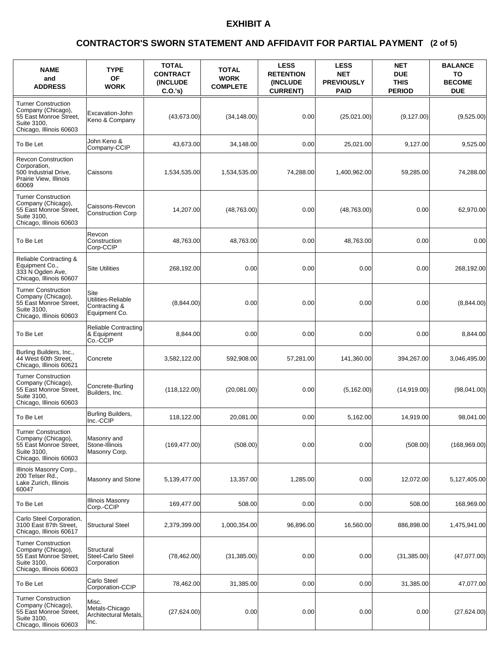### **(2 of 5) CONTRACTOR'S SWORN STATEMENT AND AFFIDAVIT FOR PARTIAL PAYMENT**

| <b>NAME</b><br>and<br><b>ADDRESS</b>                                                                                 | <b>TYPE</b><br><b>OF</b><br><b>WORK</b>                      | <b>TOTAL</b><br><b>CONTRACT</b><br><b>(INCLUDE)</b><br>C.O.'s | <b>TOTAL</b><br><b>WORK</b><br><b>COMPLETE</b> | <b>LESS</b><br><b>RETENTION</b><br><b>(INCLUDE)</b><br><b>CURRENT)</b> | <b>LESS</b><br><b>NET</b><br><b>PREVIOUSLY</b><br><b>PAID</b> | <b>NET</b><br><b>DUE</b><br><b>THIS</b><br><b>PERIOD</b> | <b>BALANCE</b><br>TO<br><b>BECOME</b><br><b>DUE</b> |
|----------------------------------------------------------------------------------------------------------------------|--------------------------------------------------------------|---------------------------------------------------------------|------------------------------------------------|------------------------------------------------------------------------|---------------------------------------------------------------|----------------------------------------------------------|-----------------------------------------------------|
| <b>Turner Construction</b><br>Company (Chicago),<br>55 East Monroe Street,<br>Suite 3100,<br>Chicago, Illinois 60603 | Excavation-John<br>Keno & Company                            | (43,673.00)                                                   | (34, 148.00)                                   | 0.00                                                                   | (25,021.00)                                                   | (9, 127.00)                                              | (9,525.00)                                          |
| To Be Let                                                                                                            | John Keno &<br>Company-CCIP                                  | 43,673.00                                                     | 34,148.00                                      | 0.00                                                                   | 25,021.00                                                     | 9,127.00                                                 | 9,525.00                                            |
| <b>Revcon Construction</b><br>Corporation,<br>500 Industrial Drive,<br>Prairie View, Illinois<br>60069               | Caissons                                                     | 1,534,535.00                                                  | 1,534,535.00                                   | 74,288.00                                                              | 1,400,962.00                                                  | 59.285.00                                                | 74,288.00                                           |
| <b>Turner Construction</b><br>Company (Chicago),<br>55 East Monroe Street,<br>Suite 3100.<br>Chicago, Illinois 60603 | Caissons-Revcon<br><b>Construction Corp</b>                  | 14,207.00                                                     | (48,763.00)                                    | 0.00                                                                   | (48,763.00)                                                   | 0.00                                                     | 62,970.00                                           |
| To Be Let                                                                                                            | Revcon<br>Construction<br>Corp-CCIP                          | 48,763.00                                                     | 48,763.00                                      | 0.00                                                                   | 48.763.00                                                     | 0.00                                                     | 0.00                                                |
| Reliable Contracting &<br>Equipment Co.,<br>333 N Ogden Ave,<br>Chicago, Illinois 60607                              | <b>Site Utilities</b>                                        | 268,192.00                                                    | 0.00                                           | 0.00                                                                   | 0.00                                                          | 0.00                                                     | 268,192.00                                          |
| <b>Turner Construction</b><br>Company (Chicago),<br>55 East Monroe Street,<br>Suite 3100,<br>Chicago, Illinois 60603 | Site<br>Utilities-Reliable<br>Contracting &<br>Equipment Co. | (8,844.00)                                                    | 0.00                                           | 0.00                                                                   | 0.00                                                          | 0.00                                                     | (8,844.00)                                          |
| To Be Let                                                                                                            | <b>Reliable Contracting</b><br>& Equipment<br>Co.-CCIP       | 8,844.00                                                      | 0.00                                           | 0.00                                                                   | 0.00                                                          | 0.00                                                     | 8,844.00                                            |
| Burling Builders, Inc.,<br>44 West 60th Street,<br>Chicago, Illinois 60621                                           | Concrete                                                     | 3,582,122.00                                                  | 592,908.00                                     | 57,281.00                                                              | 141,360.00                                                    | 394,267.00                                               | 3,046,495.00                                        |
| <b>Turner Construction</b><br>Company (Chicago),<br>55 East Monroe Street,<br>Suite 3100,<br>Chicago, Illinois 60603 | Concrete-Burling<br>Builders, Inc.                           | (118, 122.00)                                                 | (20,081.00)                                    | 0.00                                                                   | (5, 162.00)                                                   | (14,919.00)                                              | (98,041.00)                                         |
| To Be Let                                                                                                            | Burling Builders,<br>Inc.-CCIP                               | 118,122.00                                                    | 20.081.00                                      | 0.00                                                                   | 5,162.00                                                      | 14,919.00                                                | 98,041.00                                           |
| <b>Turner Construction</b><br>Company (Chicago),<br>55 East Monroe Street.<br>Suite 3100,<br>Chicago, Illinois 60603 | Masonry and<br>Stone-Illinois<br>Masonry Corp.               | (169, 477.00)                                                 | (508.00)                                       | 0.00                                                                   | 0.00                                                          | (508.00)                                                 | (168,969.00)                                        |
| Illinois Masonry Corp.,<br>200 Telser Rd.,<br>Lake Zurich, Illinois<br>60047                                         | Masonry and Stone                                            | 5,139,477.00                                                  | 13,357.00                                      | 1,285.00                                                               | 0.00                                                          | 12,072.00                                                | 5,127,405.00                                        |
| To Be Let                                                                                                            | <b>Illinois Masonry</b><br>Corp.-CCIP                        | 169,477.00                                                    | 508.00                                         | 0.00                                                                   | 0.00                                                          | 508.00                                                   | 168,969.00                                          |
| Carlo Steel Corporation,<br>3100 East 87th Street,<br>Chicago, Illinois 60617                                        | <b>Structural Steel</b>                                      | 2,379,399.00                                                  | 1,000,354.00                                   | 96,896.00                                                              | 16.560.00                                                     | 886,898.00                                               | 1,475,941.00                                        |
| <b>Turner Construction</b><br>Company (Chicago),<br>55 East Monroe Street,<br>Suite 3100,<br>Chicago, Illinois 60603 | Structural<br>Steel-Carlo Steel<br>Corporation               | (78, 462.00)                                                  | (31, 385.00)                                   | 0.00                                                                   | 0.00                                                          | (31, 385.00)                                             | (47,077.00)                                         |
| To Be Let                                                                                                            | Carlo Steel<br>Corporation-CCIP                              | 78,462.00                                                     | 31,385.00                                      | 0.00                                                                   | 0.00                                                          | 31,385.00                                                | 47,077.00                                           |
| <b>Turner Construction</b><br>Company (Chicago),<br>55 East Monroe Street,<br>Suite 3100,<br>Chicago, Illinois 60603 | Misc.<br>Metals-Chicago<br>Architectural Metals,<br>Inc.     | (27,624.00)                                                   | 0.00                                           | 0.00                                                                   | 0.00                                                          | 0.00                                                     | (27,624.00)                                         |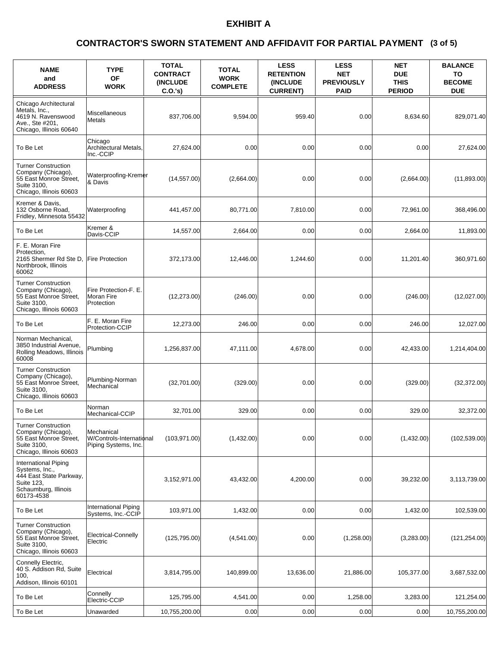### **(3 of 5) CONTRACTOR'S SWORN STATEMENT AND AFFIDAVIT FOR PARTIAL PAYMENT**

| <b>NAME</b><br>and<br><b>ADDRESS</b>                                                                                  | <b>TYPE</b><br><b>OF</b><br><b>WORK</b>                        | <b>TOTAL</b><br><b>CONTRACT</b><br><b>INCLUDE</b><br>C.O.'s | <b>TOTAL</b><br><b>WORK</b><br><b>COMPLETE</b> | <b>LESS</b><br><b>RETENTION</b><br>(INCLUDE<br><b>CURRENT)</b> | <b>LESS</b><br><b>NET</b><br><b>PREVIOUSLY</b><br><b>PAID</b> | <b>NET</b><br><b>DUE</b><br><b>THIS</b><br><b>PERIOD</b> | <b>BALANCE</b><br>TO<br><b>BECOME</b><br><b>DUE</b> |
|-----------------------------------------------------------------------------------------------------------------------|----------------------------------------------------------------|-------------------------------------------------------------|------------------------------------------------|----------------------------------------------------------------|---------------------------------------------------------------|----------------------------------------------------------|-----------------------------------------------------|
| Chicago Architectural<br>Metals, Inc.,<br>4619 N. Ravenswood<br>Ave., Ste #201,<br>Chicago, Illinois 60640            | Miscellaneous<br>Metals                                        | 837,706.00                                                  | 9,594.00                                       | 959.40                                                         | 0.00                                                          | 8.634.60                                                 | 829,071.40                                          |
| To Be Let                                                                                                             | Chicago<br>Architectural Metals,<br>Inc.-CCIP                  | 27,624.00                                                   | 0.00                                           | 0.00                                                           | 0.00                                                          | 0.00                                                     | 27,624.00                                           |
| <b>Turner Construction</b><br>Company (Chicago),<br>55 East Monroe Street,<br>Suite 3100,<br>Chicago, Illinois 60603  | Waterproofing-Kremer<br>l& Davis                               | (14, 557.00)                                                | (2,664.00)                                     | 0.00                                                           | 0.00                                                          | (2,664.00)                                               | (11,893.00)                                         |
| Kremer & Davis,<br>132 Osborne Road,<br>Fridley, Minnesota 55432                                                      | Waterproofing                                                  | 441,457.00                                                  | 80,771.00                                      | 7,810.00                                                       | 0.00                                                          | 72,961.00                                                | 368,496.00                                          |
| To Be Let                                                                                                             | Kremer &<br>Davis-CCIP                                         | 14,557.00                                                   | 2.664.00                                       | 0.00                                                           | 0.00                                                          | 2.664.00                                                 | 11,893.00                                           |
| F. E. Moran Fire<br>Protection,<br>2165 Shermer Rd Ste D,<br>Northbrook. Illinois<br>60062                            | <b>Fire Protection</b>                                         | 372,173.00                                                  | 12,446.00                                      | 1,244.60                                                       | 0.00                                                          | 11,201.40                                                | 360,971.60                                          |
| <b>Turner Construction</b><br>Company (Chicago),<br>55 East Monroe Street,<br>Suite 3100,<br>Chicago, Illinois 60603  | Fire Protection-F. E.<br>Moran Fire<br>Protection              | (12, 273.00)                                                | (246.00)                                       | 0.00                                                           | 0.00                                                          | (246.00)                                                 | (12,027.00)                                         |
| To Be Let                                                                                                             | F. E. Moran Fire<br><b>Protection-CCIP</b>                     | 12,273.00                                                   | 246.00                                         | 0.00                                                           | 0.00                                                          | 246.00                                                   | 12,027.00                                           |
| Norman Mechanical,<br>3850 Industrial Avenue,<br>Rolling Meadows, Illinois<br>60008                                   | Plumbing                                                       | 1,256,837.00                                                | 47,111.00                                      | 4,678.00                                                       | 0.00                                                          | 42,433.00                                                | 1,214,404.00                                        |
| <b>Turner Construction</b><br>Company (Chicago),<br>55 East Monroe Street,<br>Suite 3100,<br>Chicago, Illinois 60603  | Plumbing-Norman<br>Mechanical                                  | (32,701.00)                                                 | (329.00)                                       | 0.00                                                           | 0.00                                                          | (329.00)                                                 | (32, 372.00)                                        |
| To Be Let                                                                                                             | Norman<br>Mechanical-CCIP                                      | 32,701.00                                                   | 329.00                                         | 0.00                                                           | 0.00                                                          | 329.00                                                   | 32,372.00                                           |
| <b>Turner Construction</b><br>Company (Chicago),<br>55 East Monroe Street,<br>Suite 3100,<br>Chicago, Illinois 60603  | Mechanical<br>W/Controls-International<br>Piping Systems, Inc. | (103, 971.00)                                               | (1,432.00)                                     | 0.00                                                           | 0.00                                                          | (1,432.00)                                               | (102, 539.00)                                       |
| International Piping<br>Systems, Inc.,<br>444 East State Parkway,<br>Suite 123,<br>Schaumburg, Illinois<br>60173-4538 |                                                                | 3,152,971.00                                                | 43,432.00                                      | 4,200.00                                                       | 0.00                                                          | 39,232.00                                                | 3,113,739.00                                        |
| To Be Let                                                                                                             | <b>International Piping</b><br>Systems, Inc.-CCIP              | 103,971.00                                                  | 1,432.00                                       | 0.00                                                           | 0.00                                                          | 1,432.00                                                 | 102,539.00                                          |
| <b>Turner Construction</b><br>Company (Chicago),<br>55 East Monroe Street,<br>Suite 3100,<br>Chicago, Illinois 60603  | Electrical-Connelly<br>Electric                                | (125, 795.00)                                               | (4,541.00)                                     | 0.00                                                           | (1,258.00)                                                    | (3,283.00)                                               | (121, 254.00)                                       |
| Connelly Electric,<br>40 S. Addison Rd, Suite<br>100.<br>Addison, Illinois 60101                                      | Electrical                                                     | 3,814,795.00                                                | 140,899.00                                     | 13,636.00                                                      | 21,886.00                                                     | 105,377.00                                               | 3,687,532.00                                        |
| To Be Let                                                                                                             | Connelly<br>Electric-CCIP                                      | 125,795.00                                                  | 4,541.00                                       | 0.00                                                           | 1,258.00                                                      | 3,283.00                                                 | 121,254.00                                          |
| To Be Let                                                                                                             | Unawarded                                                      | 10,755,200.00                                               | 0.00                                           | 0.00                                                           | 0.00                                                          | 0.00                                                     | 10,755,200.00                                       |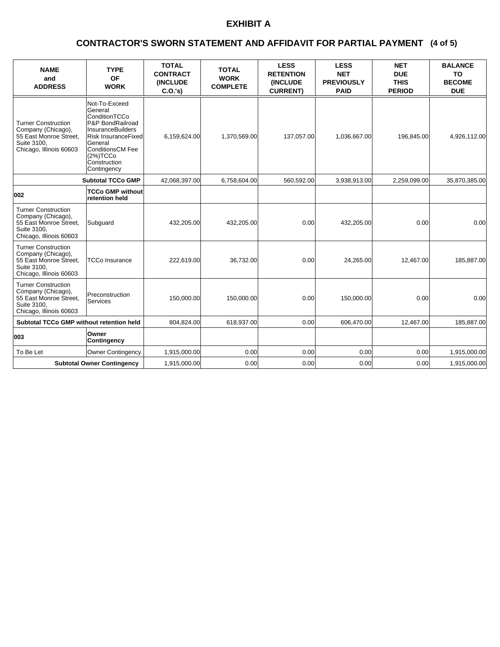### **(4 of 5) CONTRACTOR'S SWORN STATEMENT AND AFFIDAVIT FOR PARTIAL PAYMENT**

| <b>NAME</b><br>and<br><b>ADDRESS</b>                                                                                 | <b>TYPE</b><br>OF<br><b>WORK</b>                                                                                                                                                                  | <b>TOTAL</b><br><b>CONTRACT</b><br>(INCLUDE<br>C.O.'s) | <b>TOTAL</b><br><b>WORK</b><br><b>COMPLETE</b> | <b>LESS</b><br><b>RETENTION</b><br>(INCLUDE<br><b>CURRENT)</b> | <b>LESS</b><br><b>NET</b><br><b>PREVIOUSLY</b><br><b>PAID</b> | <b>NET</b><br><b>DUE</b><br><b>THIS</b><br><b>PERIOD</b> | <b>BALANCE</b><br><b>TO</b><br><b>BECOME</b><br><b>DUE</b> |
|----------------------------------------------------------------------------------------------------------------------|---------------------------------------------------------------------------------------------------------------------------------------------------------------------------------------------------|--------------------------------------------------------|------------------------------------------------|----------------------------------------------------------------|---------------------------------------------------------------|----------------------------------------------------------|------------------------------------------------------------|
| <b>Turner Construction</b><br>Company (Chicago),<br>55 East Monroe Street,<br>Suite 3100.<br>Chicago, Illinois 60603 | Not-To-Exceed<br>General<br>ConditionTCCo<br>P&P BondRailroad<br><b>InsuranceBuilders</b><br>Risk InsuranceFixed<br>General<br><b>ConditionsCM Fee</b><br>(2%)TCCo<br>Construction<br>Contingency | 6,159,624.00                                           | 1,370,569.00                                   | 137,057.00                                                     | 1,036,667.00                                                  | 196,845.00                                               | 4,926,112.00                                               |
|                                                                                                                      | <b>Subtotal TCCo GMP</b>                                                                                                                                                                          | 42,068,397.00                                          | 6,758,604.00                                   | 560,592.00                                                     | 3,938,913.00                                                  | 2,259,099.00                                             | 35,870,385.00                                              |
| 002                                                                                                                  | <b>TCCo GMP without</b><br>retention held                                                                                                                                                         |                                                        |                                                |                                                                |                                                               |                                                          |                                                            |
| <b>Turner Construction</b><br>Company (Chicago),<br>55 East Monroe Street,<br>Suite 3100.<br>Chicago, Illinois 60603 | Subguard                                                                                                                                                                                          | 432,205.00                                             | 432,205.00                                     | 0.00                                                           | 432,205.00                                                    | 0.00                                                     | 0.00                                                       |
| <b>Turner Construction</b><br>Company (Chicago),<br>55 East Monroe Street.<br>Suite 3100.<br>Chicago, Illinois 60603 | <b>TCCo Insurance</b>                                                                                                                                                                             | 222,619.00                                             | 36,732.00                                      | 0.00                                                           | 24,265.00                                                     | 12,467.00                                                | 185,887.00                                                 |
| <b>Turner Construction</b><br>Company (Chicago),<br>55 East Monroe Street.<br>Suite 3100,<br>Chicago, Illinois 60603 | Preconstruction<br><b>Services</b>                                                                                                                                                                | 150,000.00                                             | 150,000.00                                     | 0.00                                                           | 150,000.00                                                    | 0.00                                                     | 0.00                                                       |
| Subtotal TCCo GMP without retention held                                                                             |                                                                                                                                                                                                   | 804,824.00                                             | 618,937.00                                     | 0.00                                                           | 606,470.00                                                    | 12,467.00                                                | 185,887.00                                                 |
| 003                                                                                                                  | Owner<br>Contingency                                                                                                                                                                              |                                                        |                                                |                                                                |                                                               |                                                          |                                                            |
| To Be Let                                                                                                            | Owner Contingency                                                                                                                                                                                 | 1,915,000.00                                           | 0.00                                           | 0.00                                                           | 0.00                                                          | 0.00                                                     | 1,915,000.00                                               |
| <b>Subtotal Owner Contingency</b>                                                                                    |                                                                                                                                                                                                   | 1,915,000.00                                           | 0.00                                           | 0.00                                                           | 0.00                                                          | 0.00                                                     | 1,915,000.00                                               |